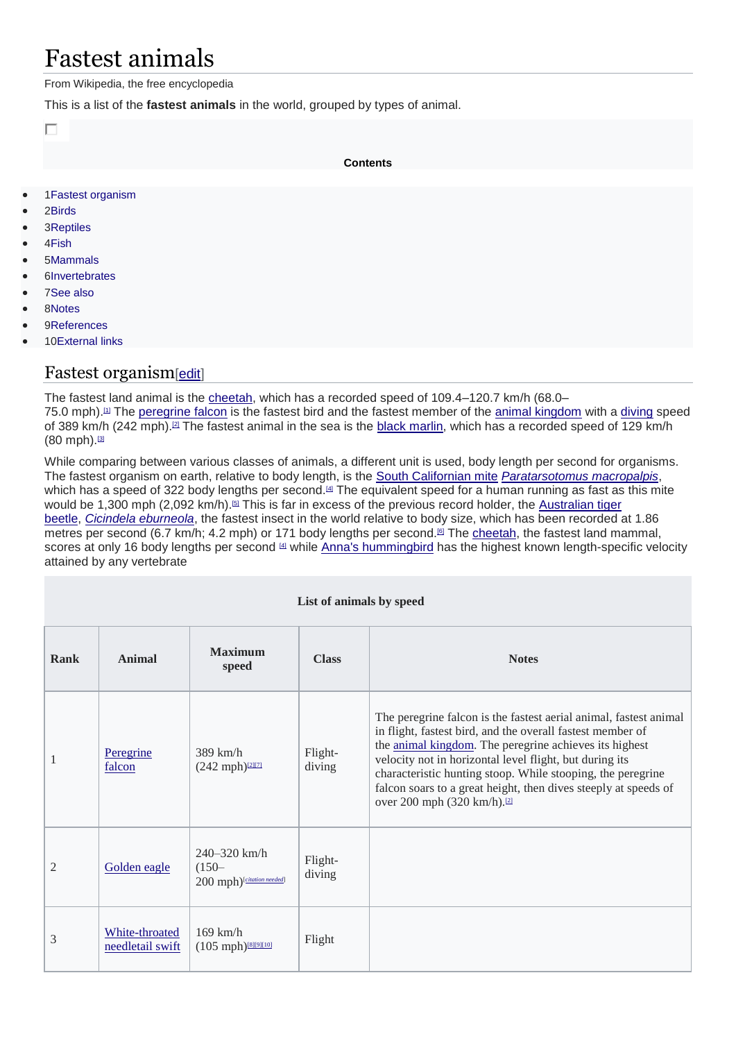# Fastest animals

From Wikipedia, the free encyclopedia

This is a list of the **fastest animals** in the world, grouped by types of animal.

П

**Contents**

- 1Fastest organism
- 2Birds
- 3Reptiles
- 4Fish
- 5Mammals
- 6Invertebrates
- 7See also
- 8Notes
- 9References
- 10External links

### Fastest organism[edit]

The fastest land animal is the cheetah, which has a recorded speed of 109.4-120.7 km/h (68.0-75.0 mph).[1] The peregrine falcon is the fastest bird and the fastest member of the animal kingdom with a diving speed of 389 km/h (242 mph).<sup>[2]</sup> The fastest animal in the sea is the black marlin, which has a recorded speed of 129 km/h  $(80$  mph $).$ [3]

While comparing between various classes of animals, a different unit is used, body length per second for organisms. The fastest organism on earth, relative to body length, is the South Californian mite *Paratarsotomus macropalpis*, which has a speed of 322 body lengths per second.<sup>[4]</sup> The equivalent speed for a human running as fast as this mite would be 1,300 mph (2,092 km/h).<sup>[5]</sup> This is far in excess of the previous record holder, the Australian tiger beetle, *Cicindela eburneola*, the fastest insect in the world relative to body size, which has been recorded at 1.86 metres per second (6.7 km/h; 4.2 mph) or 171 body lengths per second.<sup>[6]</sup> The cheetah, the fastest land mammal, scores at only 16 body lengths per second [4] while Anna's hummingbird has the highest known length-specific velocity attained by any vertebrate

| List of animals by speed |                                    |                                                           |                   |                                                                                                                                                                                                                                                                                                                                                                                                                                   |  |
|--------------------------|------------------------------------|-----------------------------------------------------------|-------------------|-----------------------------------------------------------------------------------------------------------------------------------------------------------------------------------------------------------------------------------------------------------------------------------------------------------------------------------------------------------------------------------------------------------------------------------|--|
| Rank                     | Animal                             | <b>Maximum</b><br>speed                                   | <b>Class</b>      | <b>Notes</b>                                                                                                                                                                                                                                                                                                                                                                                                                      |  |
|                          | Peregrine<br>falcon                | $389$ km/h<br>$(242 \text{ mph})^{[211]}$                 | Flight-<br>diving | The peregrine falcon is the fastest aerial animal, fastest animal<br>in flight, fastest bird, and the overall fastest member of<br>the animal kingdom. The peregrine achieves its highest<br>velocity not in horizontal level flight, but during its<br>characteristic hunting stoop. While stooping, the peregrine<br>falcon soars to a great height, then dives steeply at speeds of<br>over 200 mph (320 km/h). <sup>[2]</sup> |  |
| $\overline{2}$           | Golden eagle                       | $240 - 320$ km/h<br>$(150 -$<br>200 mph)[citation needed] | Flight-<br>diving |                                                                                                                                                                                                                                                                                                                                                                                                                                   |  |
| 3                        | White-throated<br>needletail swift | $169$ km/h<br>$(105 \text{ mph})$ [8][9][10]              | Flight            |                                                                                                                                                                                                                                                                                                                                                                                                                                   |  |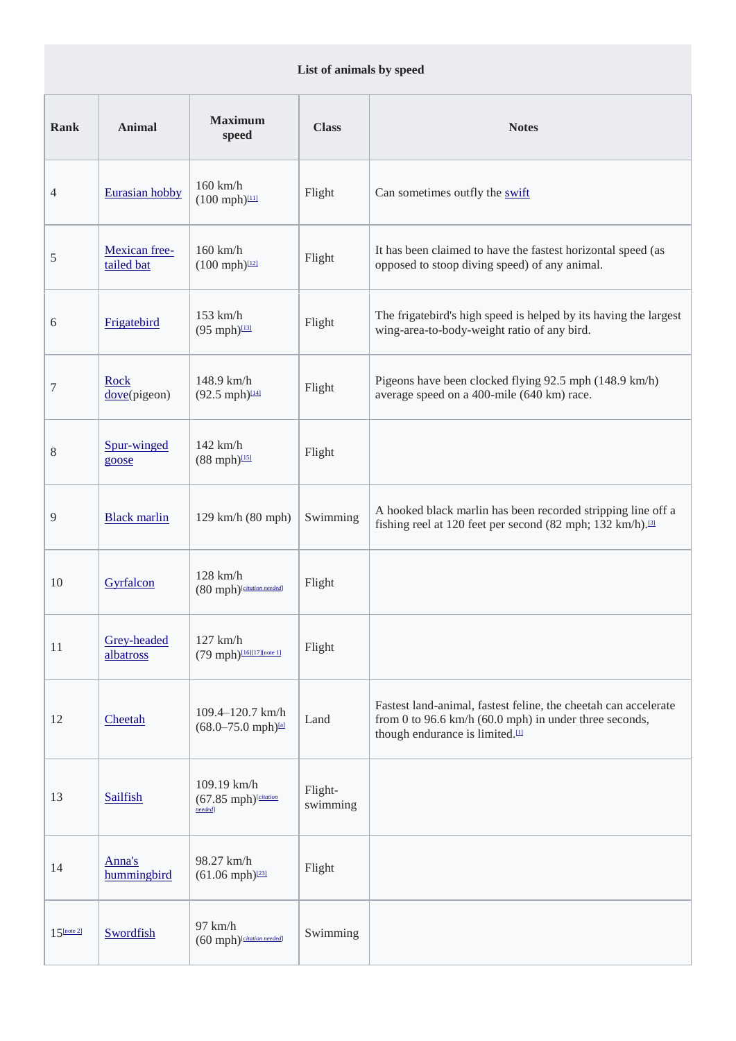#### **List of animals by speed**

| <b>Rank</b>   | <b>Animal</b>               | <b>Maximum</b><br>speed                                               | <b>Class</b>        | <b>Notes</b>                                                                                                                                                                       |
|---------------|-----------------------------|-----------------------------------------------------------------------|---------------------|------------------------------------------------------------------------------------------------------------------------------------------------------------------------------------|
| 4             | Eurasian hobby              | $160$ km/h<br>$(100 \text{ mph})$                                     | Flight              | Can sometimes outfly the swift                                                                                                                                                     |
| 5             | Mexican free-<br>tailed bat | $160$ km/h<br>$(100 \text{ mph})$ <sup>[12]</sup>                     | Flight              | It has been claimed to have the fastest horizontal speed (as<br>opposed to stoop diving speed) of any animal.                                                                      |
| 6             | Frigatebird                 | 153 km/h<br>$(95 \text{ mph})$ [13]                                   | Flight              | The frigatebird's high speed is helped by its having the largest<br>wing-area-to-body-weight ratio of any bird.                                                                    |
| 7             | Rock<br>dove(pigeon)        | 148.9 km/h<br>$(92.5 \text{ mph})$ <sup>[14]</sup>                    | Flight              | Pigeons have been clocked flying 92.5 mph (148.9 km/h)<br>average speed on a 400-mile (640 km) race.                                                                               |
| 8             | Spur-winged<br>goose        | $142$ km/h<br>$(88 \text{ mph})$ <sup>[15]</sup>                      | Flight              |                                                                                                                                                                                    |
| 9             | <b>Black marlin</b>         | 129 km/h (80 mph)                                                     | Swimming            | A hooked black marlin has been recorded stripping line off a<br>fishing reel at 120 feet per second (82 mph; 132 km/h). <sup>[3]</sup>                                             |
| 10            | Gyrfalcon                   | $128$ km/h<br>(80 mph) <sup>[citation needed]</sup>                   | Flight              |                                                                                                                                                                                    |
| 11            | Grey-headed<br>albatross    | $127$ km/h<br>(79 mph)[16][17][note 1]                                | Flight              |                                                                                                                                                                                    |
| 12            | Cheetah                     | 109.4-120.7 km/h<br>$(68.0 - 75.0 \text{ mph})$ <sup>[a]</sup>        | Land                | Fastest land-animal, fastest feline, the cheetah can accelerate<br>from 0 to 96.6 km/h $(60.0 \text{ mph})$ in under three seconds,<br>though endurance is limited. <sup>[1]</sup> |
| 13            | Sailfish                    | 109.19 km/h<br>$(67.85 \text{ mph})$ <sup>[citation</sup> ]<br>needed | Flight-<br>swimming |                                                                                                                                                                                    |
| 14            | Anna's<br>hummingbird       | 98.27 km/h<br>$(61.06 \text{ mph})^{1231}$                            | Flight              |                                                                                                                                                                                    |
| $15$ Inote 21 | Swordfish                   | 97 km/h<br>(60 mph) <sup>[citation needed]</sup>                      | Swimming            |                                                                                                                                                                                    |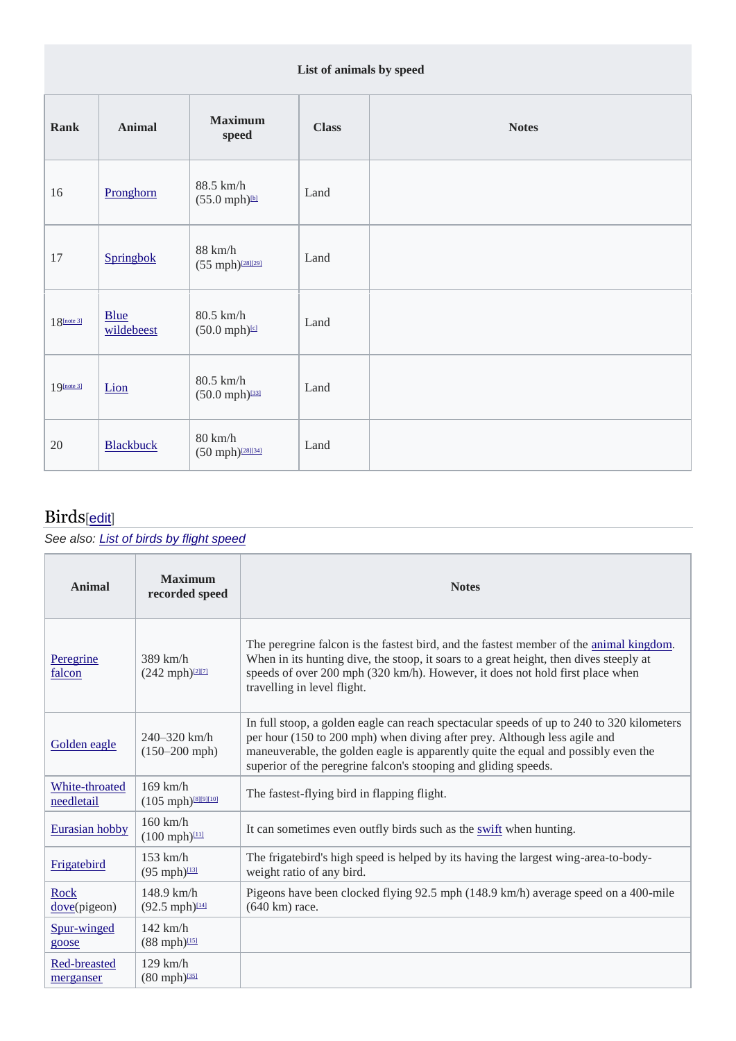#### **List of animals by speed**

| Rank          | <b>Animal</b>             | <b>Maximum</b><br>speed                                     | <b>Class</b> | <b>Notes</b> |
|---------------|---------------------------|-------------------------------------------------------------|--------------|--------------|
| 16            | Pronghorn                 | 88.5 km/h<br>$(55.0 \text{ mph})$ <sup>bl</sup>             | Land         |              |
| 17            | Springbok                 | $88$ km/h $\,$<br>$(55 mph)^{[28][29]}$                     | Land         |              |
| $18$ [note 3] | <b>Blue</b><br>wildebeest | 80.5 km/h<br>$(50.0 \text{ mph})$                           | Land         |              |
| $19$ [note 3] | Lion                      | 80.5 km/h<br>$(50.0 \text{ mph})^{1331}$                    | Land         |              |
| 20            | <b>Blackbuck</b>          | $80 \text{ km/h}$<br>$(50 \text{ mph})$ <sup>[28][34]</sup> | Land         |              |

## Birds[edit]

*See also: List of birds by flight speed*

| Animal                       | <b>Maximum</b><br>recorded speed                             | <b>Notes</b>                                                                                                                                                                                                                                                                                                                    |
|------------------------------|--------------------------------------------------------------|---------------------------------------------------------------------------------------------------------------------------------------------------------------------------------------------------------------------------------------------------------------------------------------------------------------------------------|
| Peregrine<br>falcon          | $389$ km/h<br>$(242 \text{ mph})^{121171}$                   | The peregrine falcon is the fastest bird, and the fastest member of the animal kingdom.<br>When in its hunting dive, the stoop, it soars to a great height, then dives steeply at<br>speeds of over 200 mph (320 km/h). However, it does not hold first place when<br>travelling in level flight.                               |
| Golden eagle                 | 240–320 km/h<br>$(150 - 200$ mph)                            | In full stoop, a golden eagle can reach spectacular speeds of up to 240 to 320 kilometers<br>per hour (150 to 200 mph) when diving after prey. Although less agile and<br>maneuverable, the golden eagle is apparently quite the equal and possibly even the<br>superior of the peregrine falcon's stooping and gliding speeds. |
| White-throated<br>needletail | $169$ km/h<br>$(105 \text{ mph})$ <sup>[8][9][10]</sup>      | The fastest-flying bird in flapping flight.                                                                                                                                                                                                                                                                                     |
| Eurasian hobby               | $160$ km/h<br>$(100 \text{ mph})$                            | It can sometimes even outfly birds such as the <i>swift</i> when hunting.                                                                                                                                                                                                                                                       |
| Frigatebird                  | $153$ km/h<br>$(95 \text{ mph})$ <sup>[13]</sup>             | The frigatebird's high speed is helped by its having the largest wing-area-to-body-<br>weight ratio of any bird.                                                                                                                                                                                                                |
| <b>Rock</b><br>dove(pigeon)  | $148.9 \text{ km/h}$<br>$(92.5 \text{ mph})$ <sup>[14]</sup> | Pigeons have been clocked flying 92.5 mph (148.9 km/h) average speed on a 400-mile<br>(640 km) race.                                                                                                                                                                                                                            |
| Spur-winged<br>goose         | $142$ km/h<br>$(88 \text{ mph})$ <sup>[15]</sup>             |                                                                                                                                                                                                                                                                                                                                 |
| Red-breasted<br>merganser    | $129$ km/h<br>$(80 \text{ mph})^{1351}$                      |                                                                                                                                                                                                                                                                                                                                 |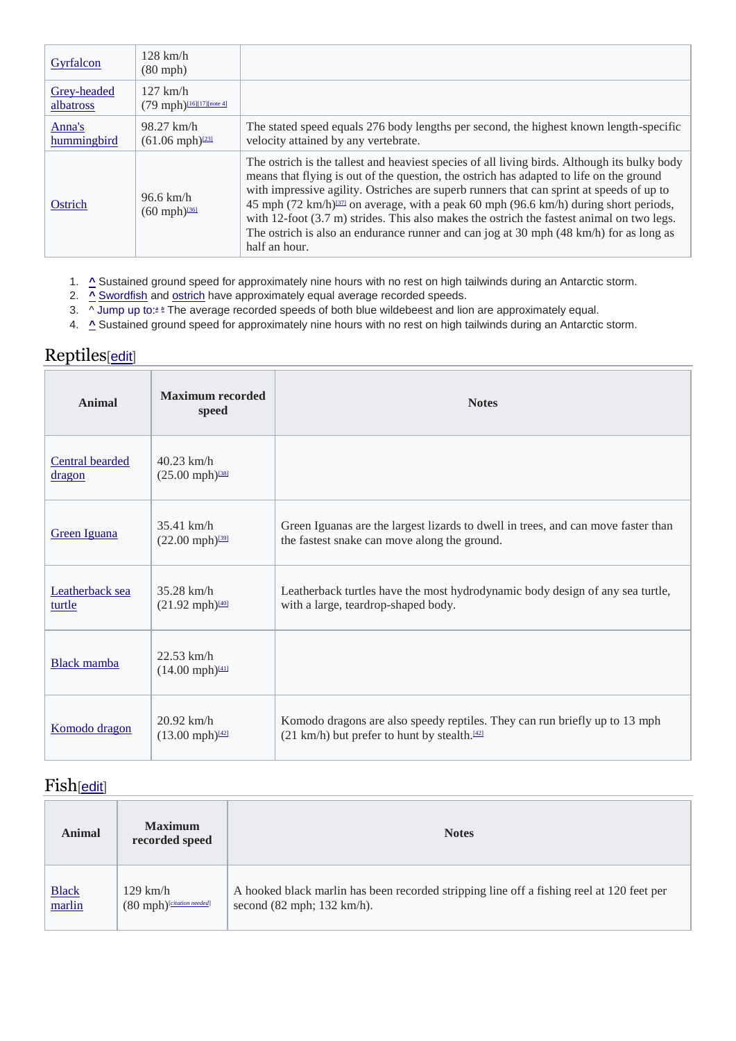| Gyrfalcon                | $128$ km/h<br>$(80$ mph $)$                                  |                                                                                                                                                                                                                                                                                                                                                                                                                                                                                                                                                                                                               |
|--------------------------|--------------------------------------------------------------|---------------------------------------------------------------------------------------------------------------------------------------------------------------------------------------------------------------------------------------------------------------------------------------------------------------------------------------------------------------------------------------------------------------------------------------------------------------------------------------------------------------------------------------------------------------------------------------------------------------|
| Grey-headed<br>albatross | $127$ km/h<br>$(79 \text{ mph})$ <sup>[16][17][note 4]</sup> |                                                                                                                                                                                                                                                                                                                                                                                                                                                                                                                                                                                                               |
| Anna's<br>hummingbird    | $98.27$ km/h<br>$(61.06 \text{ mph})^{[23]}$                 | The stated speed equals 276 body lengths per second, the highest known length-specific<br>velocity attained by any vertebrate.                                                                                                                                                                                                                                                                                                                                                                                                                                                                                |
| Ostrich                  | $96.6 \text{ km/h}$<br>$(60 \text{ mph})^{136}$              | The ostrich is the tallest and heaviest species of all living birds. Although its bulky body<br>means that flying is out of the question, the ostrich has adapted to life on the ground<br>with impressive agility. Ostriches are superb runners that can sprint at speeds of up to<br>45 mph (72 km/h) <sup>1371</sup> on average, with a peak 60 mph (96.6 km/h) during short periods,<br>with $12$ -foot $(3.7 \text{ m})$ strides. This also makes the ostrich the fastest animal on two legs.<br>The ostrich is also an endurance runner and can jog at 30 mph (48 km/h) for as long as<br>half an hour. |

- 1. **^** Sustained ground speed for approximately nine hours with no rest on high tailwinds during an Antarctic storm.
- 2. **^** Swordfish and ostrich have approximately equal average recorded speeds.
- 3. ^ Jump up to:<sup>2</sup> <sup>b</sup> The average recorded speeds of both blue wildebeest and lion are approximately equal.
- 4. **^** Sustained ground speed for approximately nine hours with no rest on high tailwinds during an Antarctic storm.

### Reptiles[edit]

| Animal                    | <b>Maximum</b> recorded<br>speed                      | <b>Notes</b>                                                                                                                           |
|---------------------------|-------------------------------------------------------|----------------------------------------------------------------------------------------------------------------------------------------|
| Central bearded<br>dragon | $40.23$ km/h<br>$(25.00 \text{ mph})^{[38]}$          |                                                                                                                                        |
| Green Iguana              | $35.41$ km/h<br>$(22.00 \text{ mph})^{[39]}$          | Green Iguanas are the largest lizards to dwell in trees, and can move faster than<br>the fastest snake can move along the ground.      |
| Leatherback sea<br>turtle | $35.28$ km/h<br>$(21.92 \text{ mph})^{1401}$          | Leatherback turtles have the most hydrodynamic body design of any sea turtle,<br>with a large, teardrop-shaped body.                   |
| <b>Black</b> mamba        | $22.53$ km/h<br>$(14.00 \text{ mph})^{[41]}$          |                                                                                                                                        |
| Komodo dragon             | $20.92$ km/h<br>$(13.00 \text{ mph})$ <sup>[42]</sup> | Komodo dragons are also speedy reptiles. They can run briefly up to 13 mph<br>(21 km/h) but prefer to hunt by stealth. <sup>[42]</sup> |

### Fish[edit]

| <b>Animal</b>                        | <b>Maximum</b><br>recorded speed         | <b>Notes</b>                                                                                                                              |
|--------------------------------------|------------------------------------------|-------------------------------------------------------------------------------------------------------------------------------------------|
| $\frac{\text{Black}}{\text{marlin}}$ | $129$ km/h<br>(80 mph) [citation needed] | A hooked black marlin has been recorded stripping line off a fishing reel at 120 feet per<br>second $(82 \text{ mph}; 132 \text{ km/h}).$ |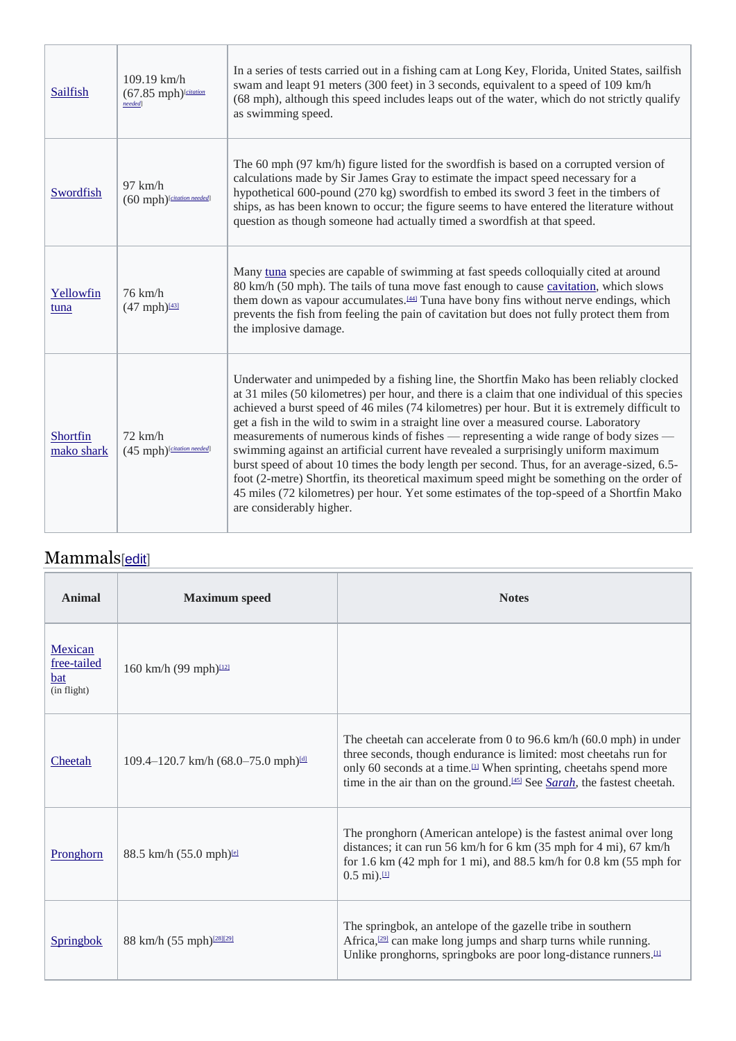| Sailfish               | $109.19$ km/h<br>$(67.85$ mph) <sup>[citation</sup><br>needed] | In a series of tests carried out in a fishing cam at Long Key, Florida, United States, sailfish<br>swam and leapt 91 meters (300 feet) in 3 seconds, equivalent to a speed of 109 km/h<br>(68 mph), although this speed includes leaps out of the water, which do not strictly qualify<br>as swimming speed.                                                                                                                                                                                                                                                                                                                                                                                                                                                                                                                                                                          |
|------------------------|----------------------------------------------------------------|---------------------------------------------------------------------------------------------------------------------------------------------------------------------------------------------------------------------------------------------------------------------------------------------------------------------------------------------------------------------------------------------------------------------------------------------------------------------------------------------------------------------------------------------------------------------------------------------------------------------------------------------------------------------------------------------------------------------------------------------------------------------------------------------------------------------------------------------------------------------------------------|
| Swordfish              | $97$ km/h<br>(60 mph) [citation needed]                        | The 60 mph (97 km/h) figure listed for the swordfish is based on a corrupted version of<br>calculations made by Sir James Gray to estimate the impact speed necessary for a<br>hypothetical 600-pound $(270 \text{ kg})$ swordfish to embed its sword 3 feet in the timbers of<br>ships, as has been known to occur; the figure seems to have entered the literature without<br>question as though someone had actually timed a swordfish at that speed.                                                                                                                                                                                                                                                                                                                                                                                                                              |
| Yellowfin<br>tuna      | $76$ km/h<br>$(47 mph)^{[43]}$                                 | Many tuna species are capable of swimming at fast speeds colloquially cited at around<br>80 km/h (50 mph). The tails of tuna move fast enough to cause cavitation, which slows<br>them down as vapour accumulates. <sup>[44]</sup> Tuna have bony fins without nerve endings, which<br>prevents the fish from feeling the pain of cavitation but does not fully protect them from<br>the implosive damage.                                                                                                                                                                                                                                                                                                                                                                                                                                                                            |
| Shortfin<br>mako shark | $72 \text{ km/h}$<br>(45 mph) [citation needed]                | Underwater and unimpeded by a fishing line, the Shortfin Mako has been reliably clocked<br>at 31 miles (50 kilometres) per hour, and there is a claim that one individual of this species<br>achieved a burst speed of 46 miles (74 kilometres) per hour. But it is extremely difficult to<br>get a fish in the wild to swim in a straight line over a measured course. Laboratory<br>measurements of numerous kinds of fishes — representing a wide range of body sizes —<br>swimming against an artificial current have revealed a surprisingly uniform maximum<br>burst speed of about 10 times the body length per second. Thus, for an average-sized, 6.5-<br>foot (2-metre) Shortfin, its theoretical maximum speed might be something on the order of<br>45 miles (72 kilometres) per hour. Yet some estimates of the top-speed of a Shortfin Mako<br>are considerably higher. |

## Mammals[edit]

| <b>Animal</b>                                       | <b>Maximum</b> speed                                | <b>Notes</b>                                                                                                                                                                                                                                                                                                                      |
|-----------------------------------------------------|-----------------------------------------------------|-----------------------------------------------------------------------------------------------------------------------------------------------------------------------------------------------------------------------------------------------------------------------------------------------------------------------------------|
| Mexican<br>free-tailed<br><b>bat</b><br>(in flight) | 160 km/h (99 mph) <sup>[12]</sup>                   |                                                                                                                                                                                                                                                                                                                                   |
| Cheetah                                             | 109.4-120.7 km/h (68.0-75.0 mph) <sup>idl</sup>     | The cheetah can accelerate from 0 to 96.6 km/h $(60.0 \text{ mph})$ in under<br>three seconds, though endurance is limited: most cheetahs run for<br>only 60 seconds at a time. <sup>III</sup> When sprinting, cheetahs spend more<br>time in the air than on the ground. <sup>[45]</sup> See <i>Sarah</i> , the fastest cheetah. |
| Pronghorn                                           | $88.5 \text{ km/h} (55.0 \text{ mph})^{\text{tel}}$ | The pronghorn (American antelope) is the fastest animal over long<br>distances; it can run 56 km/h for 6 km (35 mph for 4 mi), 67 km/h<br>for 1.6 km $(42 \text{ mph}$ for 1 mi), and 88.5 km/h for 0.8 km $(55 \text{ mph}$ for<br>$0.5 \text{ mi}$ ). $\mu$                                                                     |
| Springbok                                           | 88 km/h $(55 \text{ mph})^{\frac{[28][29]}{]} }$    | The springbok, an antelope of the gazelle tribe in southern<br>Africa, $[29]$ can make long jumps and sharp turns while running.<br>Unlike pronghorns, springboks are poor long-distance runners. <sup>[1]</sup>                                                                                                                  |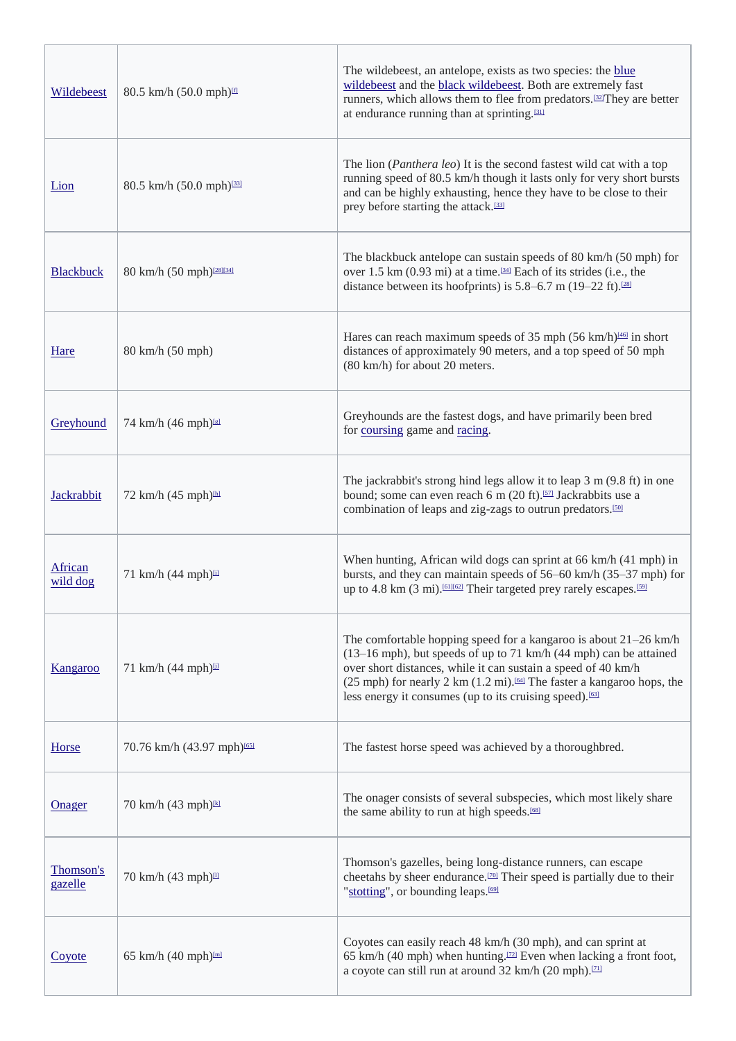| Wildebeest           | 80.5 km/h (50.0 mph)                   | The wildebeest, an antelope, exists as two species: the blue<br>wildebeest and the black wildebeest. Both are extremely fast<br>runners, which allows them to flee from predators. <sup>[32]</sup> They are better<br>at endurance running than at sprinting. <sup>[31]</sup>                                                                                                                         |
|----------------------|----------------------------------------|-------------------------------------------------------------------------------------------------------------------------------------------------------------------------------------------------------------------------------------------------------------------------------------------------------------------------------------------------------------------------------------------------------|
| Lion                 | 80.5 km/h (50.0 mph) <sup>[33]</sup>   | The lion ( <i>Panthera leo</i> ) It is the second fastest wild cat with a top<br>running speed of 80.5 km/h though it lasts only for very short bursts<br>and can be highly exhausting, hence they have to be close to their<br>prey before starting the attack. <sup>[33]</sup>                                                                                                                      |
| <b>Blackbuck</b>     | 80 km/h (50 mph) <sup>[28][34]</sup>   | The blackbuck antelope can sustain speeds of 80 km/h (50 mph) for<br>over 1.5 km (0.93 mi) at a time. <sup>[34]</sup> Each of its strides (i.e., the<br>distance between its hoofprints) is $5.8-6.7$ m (19-22 ft). <sup>[28]</sup>                                                                                                                                                                   |
| Hare                 | 80 km/h (50 mph)                       | Hares can reach maximum speeds of 35 mph $(56 \text{ km/h})^{\frac{146}{1}}$ in short<br>distances of approximately 90 meters, and a top speed of 50 mph<br>(80 km/h) for about 20 meters.                                                                                                                                                                                                            |
| Greyhound            | 74 km/h (46 mph)                       | Greyhounds are the fastest dogs, and have primarily been bred<br>for coursing game and racing.                                                                                                                                                                                                                                                                                                        |
| Jackrabbit           | 72 km/h (45 mph) <sup>Inl</sup>        | The jackrabbit's strong hind legs allow it to leap 3 m (9.8 ft) in one<br>bound; some can even reach 6 m (20 ft). <sup>[57]</sup> Jackrabbits use a<br>combination of leaps and zig-zags to outrun predators. <sup>[50]</sup>                                                                                                                                                                         |
| African<br>wild dog  | 71 km/h (44 mph) 回                     | When hunting, African wild dogs can sprint at 66 km/h (41 mph) in<br>bursts, and they can maintain speeds of 56–60 km/h (35–37 mph) for<br>up to 4.8 km (3 mi). [61][62] Their targeted prey rarely escapes. [59]                                                                                                                                                                                     |
| Kangaroo             | 71 km/h (44 mph)山                      | The comfortable hopping speed for a kangaroo is about $21-26$ km/h<br>$(13-16 \text{ mph})$ , but speeds of up to 71 km/h $(44 \text{ mph})$ can be attained<br>over short distances, while it can sustain a speed of 40 km/h<br>(25 mph) for nearly 2 km $(1.2 \text{ mi})$ . <sup>[64]</sup> The faster a kangaroo hops, the<br>less energy it consumes (up to its cruising speed). <sup>[63]</sup> |
| Horse                | 70.76 km/h (43.97 mph) <sup>1651</sup> | The fastest horse speed was achieved by a thoroughbred.                                                                                                                                                                                                                                                                                                                                               |
| <b>Onager</b>        | 70 km/h (43 mph) <sup>kl</sup>         | The onager consists of several subspecies, which most likely share<br>the same ability to run at high speeds. <sup>[68]</sup>                                                                                                                                                                                                                                                                         |
| Thomson's<br>gazelle | 70 km/h (43 mph) <sup>III</sup>        | Thomson's gazelles, being long-distance runners, can escape<br>cheetahs by sheer endurance. <sup>[20]</sup> Their speed is partially due to their<br>"stotting", or bounding leaps. <sup>[69]</sup>                                                                                                                                                                                                   |
| Coyote               | 65 km/h (40 mph) <sup>Iml</sup>        | Coyotes can easily reach 48 km/h (30 mph), and can sprint at<br>65 km/h (40 mph) when hunting. <sup>[22]</sup> Even when lacking a front foot,<br>a coyote can still run at around 32 km/h (20 mph). <sup>[71]</sup>                                                                                                                                                                                  |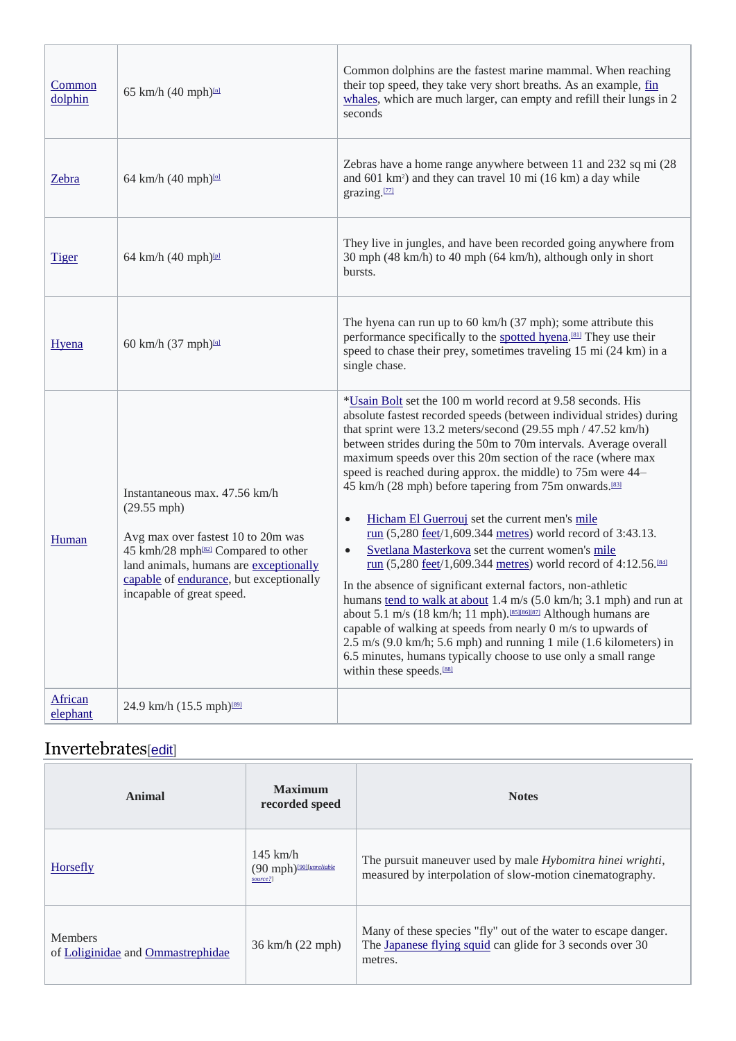| Common<br>dolphin   | 65 km/h (40 mph) <sup>[n]</sup>                                                                                                                                                                                                                                   | Common dolphins are the fastest marine mammal. When reaching<br>their top speed, they take very short breaths. As an example, fin<br>whales, which are much larger, can empty and refill their lungs in 2<br>seconds                                                                                                                                                                                                                                                                                                                                                                                                                                                                                                                                                                                                                                                                                                                                                                                                                                                                                                                                                                                   |
|---------------------|-------------------------------------------------------------------------------------------------------------------------------------------------------------------------------------------------------------------------------------------------------------------|--------------------------------------------------------------------------------------------------------------------------------------------------------------------------------------------------------------------------------------------------------------------------------------------------------------------------------------------------------------------------------------------------------------------------------------------------------------------------------------------------------------------------------------------------------------------------------------------------------------------------------------------------------------------------------------------------------------------------------------------------------------------------------------------------------------------------------------------------------------------------------------------------------------------------------------------------------------------------------------------------------------------------------------------------------------------------------------------------------------------------------------------------------------------------------------------------------|
| Zebra               | 64 km/h (40 mph) <sup>101</sup>                                                                                                                                                                                                                                   | Zebras have a home range anywhere between 11 and 232 sq mi (28)<br>and 601 km <sup>2</sup> ) and they can travel 10 mi (16 km) a day while<br>grazing.[77]                                                                                                                                                                                                                                                                                                                                                                                                                                                                                                                                                                                                                                                                                                                                                                                                                                                                                                                                                                                                                                             |
| <u>Tiger</u>        | 64 km/h (40 mph)                                                                                                                                                                                                                                                  | They live in jungles, and have been recorded going anywhere from<br>30 mph (48 km/h) to 40 mph (64 km/h), although only in short<br>bursts.                                                                                                                                                                                                                                                                                                                                                                                                                                                                                                                                                                                                                                                                                                                                                                                                                                                                                                                                                                                                                                                            |
| Hyena               | 60 km/h (37 mph)                                                                                                                                                                                                                                                  | The hyena can run up to $60 \text{ km/h}$ (37 mph); some attribute this<br>performance specifically to the spotted hyena. <sup>[81]</sup> They use their<br>speed to chase their prey, sometimes traveling 15 mi (24 km) in a<br>single chase.                                                                                                                                                                                                                                                                                                                                                                                                                                                                                                                                                                                                                                                                                                                                                                                                                                                                                                                                                         |
| Human               | Instantaneous max. 47.56 km/h<br>$(29.55 \text{ mph})$<br>Avg max over fastest 10 to 20m was<br>45 kmh/28 mph <sup>[82]</sup> Compared to other<br>land animals, humans are exceptionally<br>capable of endurance, but exceptionally<br>incapable of great speed. | *Usain Bolt set the 100 m world record at 9.58 seconds. His<br>absolute fastest recorded speeds (between individual strides) during<br>that sprint were 13.2 meters/second (29.55 mph / 47.52 km/h)<br>between strides during the 50m to 70m intervals. Average overall<br>maximum speeds over this 20m section of the race (where max<br>speed is reached during approx. the middle) to 75m were 44–<br>45 km/h (28 mph) before tapering from 75m onwards.[83]<br>Hicham El Guerrouj set the current men's mile<br>$\bullet$<br>run (5,280 feet/1,609.344 metres) world record of 3:43.13.<br>Svetlana Masterkova set the current women's mile<br>$\bullet$<br>run (5,280 feet/1,609.344 metres) world record of 4:12.56. <sup>[84]</sup><br>In the absence of significant external factors, non-athletic<br>humans tend to walk at about 1.4 m/s (5.0 km/h; 3.1 mph) and run at<br>about 5.1 m/s (18 km/h; 11 mph). [85][86][87] Although humans are<br>capable of walking at speeds from nearly 0 m/s to upwards of<br>2.5 m/s (9.0 km/h; 5.6 mph) and running 1 mile (1.6 kilometers) in<br>6.5 minutes, humans typically choose to use only a small range<br>within these speeds. <sup>[88]</sup> |
| African<br>elephant | 24.9 km/h (15.5 mph) <sup>[89]</sup>                                                                                                                                                                                                                              |                                                                                                                                                                                                                                                                                                                                                                                                                                                                                                                                                                                                                                                                                                                                                                                                                                                                                                                                                                                                                                                                                                                                                                                                        |

## Invertebrates[edit]

| Animal                                              | <b>Maximum</b><br>recorded speed                                                | <b>Notes</b>                                                                                                                           |
|-----------------------------------------------------|---------------------------------------------------------------------------------|----------------------------------------------------------------------------------------------------------------------------------------|
| Horsefly                                            | $145$ km/h<br>$(90 \text{ mph})$ <sup>[90][<i>unreliable</i>]</sup><br>source?] | The pursuit maneuver used by male <i>Hybomitra hinei wrighti</i> ,<br>measured by interpolation of slow-motion cinematography.         |
| <b>Members</b><br>of Loliginidae and Ommastrephidae | 36 km/h (22 mph)                                                                | Many of these species "fly" out of the water to escape danger.<br>The Japanese flying squid can glide for 3 seconds over 30<br>metres. |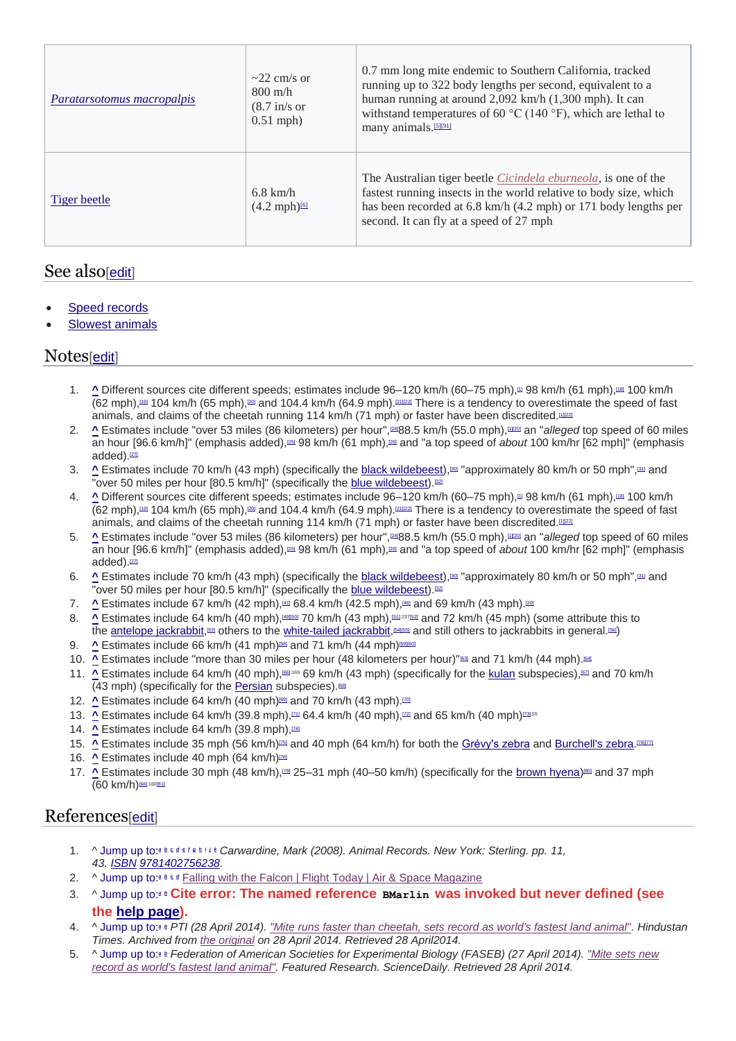| <i>Paratarsotomus macropalpis</i> | $\sim$ 22 cm/s or<br>$800 \text{ m/h}$<br>$(8.7 \text{ in/s or})$<br>$0.51$ mph) | 0.7 mm long mite endemic to Southern California, tracked<br>running up to 322 body lengths per second, equivalent to a<br>human running at around 2,092 km/h (1,300 mph). It can<br>withstand temperatures of 60 $\rm{^{\circ}C}$ (140 $\rm{^{\circ}F}$ ), which are lethal to<br>many animals. <sup>[5][91]</sup> |
|-----------------------------------|----------------------------------------------------------------------------------|--------------------------------------------------------------------------------------------------------------------------------------------------------------------------------------------------------------------------------------------------------------------------------------------------------------------|
| Tiger beetle                      | $6.8$ km/h<br>$(4.2 \text{ mph})^{\text{6}}$                                     | The Australian tiger beetle <i>Cicindela eburneola</i> , is one of the<br>fastest running insects in the world relative to body size, which<br>has been recorded at 6.8 km/h (4.2 mph) or 171 body lengths per<br>second. It can fly at a speed of 27 mph                                                          |

### See also[edit]

- Speed records
- **Slowest animals**

#### Notes[edit]

- 1. ^ Different sources cite different speeds; estimates include 96–120 km/h (60–75 mph),<sup>m</sup> 98 km/h (61 mph),<sup>m®</sup> 100 km/h  $(62 \text{ mph})$ ,[19] 104 km/h (65 mph),[20] and 104.4 km/h (64.9 mph).[21][22] There is a tendency to overestimate the speed of fast animals, and claims of the cheetah running 114 km/h (71 mph) or faster have been discredited.<sup>[1222</sup>]
- 2. **^** Estimates include "over 53 miles (86 kilometers) per hour",<sup>[24]</sup>88.5 km/h (55.0 mph),<sup>[1][20]</sup> an "*alleged* top speed of 60 miles an hour [96.6 km/h]" (emphasis added),[25] 98 km/h (61 mph),[26] and "a top speed of *about* 100 km/hr [62 mph]" (emphasis added).<sup>[27]</sup>
- 3. **A** Estimates include 70 km/h (43 mph) (specifically the black wildebeest),<sup>[30]</sup> "approximately 80 km/h or 50 mph",<sup>[31]</sup> and The contract measure from the specifically the blue wildebeest).<sup>[32]</sup><br>"over 50 miles per hour [80.5 km/h]" (specifically the blue wildebeest).<sup>[32]</sup>
- 4. **^** Different sources cite different speeds; estimates include 96–120 km/h (60–75 mph),[1] 98 km/h (61 mph),[18] 100 km/h  $(62 \text{ mph})$ ,<sup>191</sup> 104 km/h  $(65 \text{ mph})$ , $\frac{\text{cm}}{2}$  and 104.4 km/h  $(64.9 \text{ mph})$ . $\frac{\text{cm}}{2}$  There is a tendency to overestimate the speed of fast animals, and claims of the cheetah running 114 km/h (71 mph) or faster have been discredited.[1122]
- 5. **^** Estimates include "over 53 miles (86 kilometers) per hour",<sup>[24]</sup>88.5 km/h (55.0 mph),<sup>[1][20</sup> an "*alleged* top speed of 60 miles an hour [96.6 km/h]" (emphasis added),[25] 98 km/h (61 mph),[26] and "a top speed of *about* 100 km/hr [62 mph]" (emphasis added).<sup>[27]</sup>
- 6. **^** Estimates include 70 km/h (43 mph) (specifically the black wildebeest),<sup>[30]</sup> "approximately 80 km/h or 50 mph",<sup>[31]</sup> and "over 50 miles per hour [80.5 km/h]" (specifically the blue wildebeest).<sup>[32]</sup>
- 7. **^** Estimates include 67 km/h (42 mph),[47] 68.4 km/h (42.5 mph),[48] and 69 km/h (43 mph).[20]
- 8. **^** Estimates include 64 km/h (40 mph),<sup>[69][50]</sup> 70 km/h (43 mph),<sup>[51]:237[52]</sup> and 72 km/h (45 mph) (some attribute this to the <u>antelope jackrabbit</u>, [53] others to the white-tailed jackrabbit, [54][55] and still others to jackrabbits in general.[56]
- 9. **^** Estimates include 66 km/h (41 mph)<sup>[58]</sup> and 71 km/h (44 mph)<sup>[59][60]</sup>
- 10. **^** Estimates include "more than 30 miles per hour (48 kilometers per hour)"<sup>[63]</sup> and 71 km/h (44 mph).<sup>[64]</sup>
- 11. **^** Estimates include 64 km/h (40 mph),  $\text{[66]}$  km/h (43 mph) (specifically for the kulan subspecies), $\text{[67]}$  and 70 km/h (43 mph) (specifically for the Persian subspecies).[68]
- 12. **^** Estimates include 64 km/h (40 mph)<sup>[69]</sup> and 70 km/h (43 mph).<sup>[70]</sup>
- 13. **^** Estimates include 64 km/h (39.8 mph), $\mu$ 1 64.4 km/h (40 mph), $\mu$ 2 and 65 km/h (40 mph) $\mu$ 2155
- 14. **^** Estimates include 64 km/h (39.8 mph), [74]
- 15. <u>A</u> Estimates include 35 mph (56 km/h)<sup>[25]</sup> and 40 mph (64 km/h) for both the Grévy's zebra and Burchell's zebra.<sup>[76][77</sup>]
- 16. **^** Estimates include 40 mph (64 km/h)<sup>[78]</sup>
- 17. <u>^</u> Estimates include 30 mph (48 km/h),<sup>[29]</sup> 25–31 mph (40–50 km/h) (specifically for the <u>brown hyena</u>)<sup>800</sup> and 37 mph (60 km/h)[66]:160[81]

### References[edit]

- 1. ^ Jump up to:*<sup>a</sup> <sup>b</sup> <sup>c</sup> <sup>d</sup> <sup>e</sup> <sup>f</sup> <sup>g</sup> <sup>h</sup> <sup>i</sup> <sup>j</sup> <sup>k</sup> Carwardine, Mark (2008). Animal Records. New York: Sterling. pp. 11, 43. ISBN 9781402756238.*
- 2. ^ Jump up to:<sup>*<i>b**c*  $d$  Falling with the Falcon | Flight Today | Air & Space Magazine</sup>
- 3. ^ Jump up to:*<sup>a</sup> <sup>b</sup>* **Cite error: The named reference BMarlin was invoked but never defined (see**

#### **the help page).**

- 4. ^ Jump up to:*<sup>a</sup> <sup>b</sup> PTI (28 April 2014). "Mite runs faster than cheetah, sets record as world's fastest land animal". Hindustan Times. Archived from the original on 28 April 2014. Retrieved 28 April2014.*
- 5. ^ Jump up to:*<sup>a</sup> <sup>b</sup> Federation of American Societies for Experimental Biology (FASEB) (27 April 2014). "Mite sets new record as world's fastest land animal". Featured Research. ScienceDaily. Retrieved 28 April 2014.*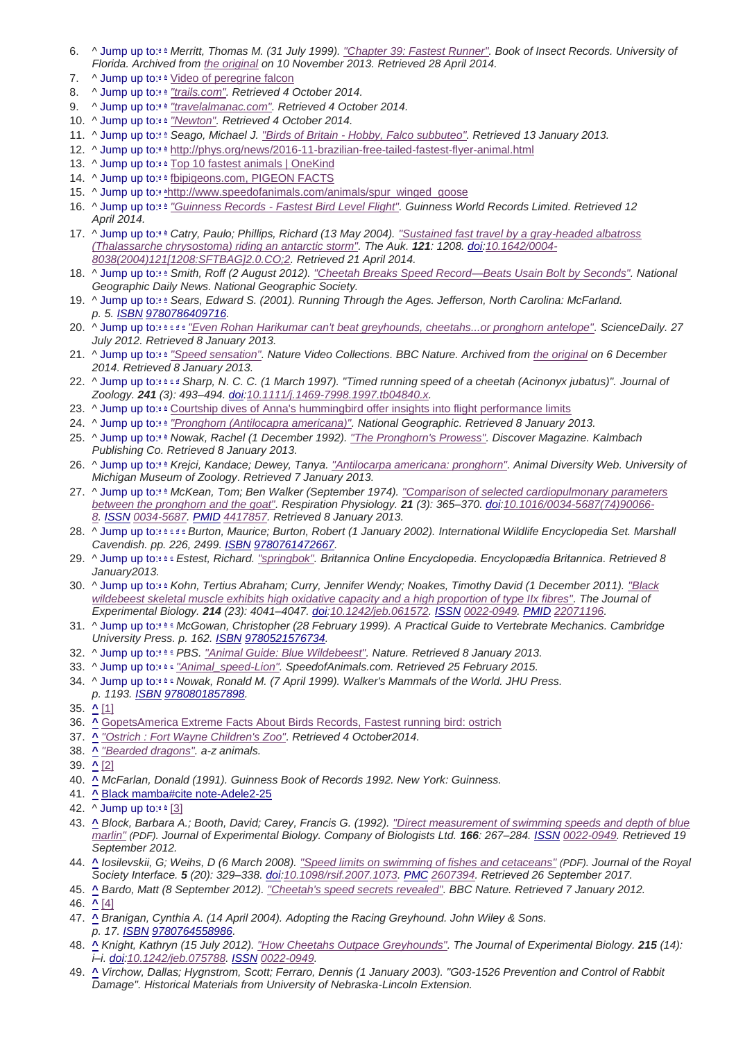- 6. ^ Jump up to:*<sup>a</sup> <sup>b</sup> Merritt, Thomas M. (31 July 1999). "Chapter 39: Fastest Runner". Book of Insect Records. University of Florida. Archived from the original on 10 November 2013. Retrieved 28 April 2014.*
- 7. ^ Jump up to:*<sup>a</sup> <sup>b</sup>* Video of peregrine falcon
- 8. ^ Jump up to:*<sup>a</sup> <sup>b</sup> "trails.com". Retrieved 4 October 2014.*
- 9. ^ Jump up to:*<sup>a</sup> <sup>b</sup> "travelalmanac.com". Retrieved 4 October 2014.*
- 10. ^ Jump up to:*<sup>a</sup> <sup>b</sup> "Newton". Retrieved 4 October 2014.*
- 11. ^ Jump up to:*<sup>a</sup> <sup>b</sup> Seago, Michael J. "Birds of Britain - Hobby, Falco subbuteo". Retrieved 13 January 2013.*
- 12. ^ Jump up to:*<sup>a</sup> <sup>b</sup>* http://phys.org/news/2016-11-brazilian-free-tailed-fastest-flyer-animal.html
- 13. ^ Jump up to:<sup>*a*</sup> *b* Top 10 fastest animals | OneKind
- 14. ^ Jump up to:*<sup>a</sup> <sup>b</sup>* fbipigeons.com, PIGEON FACTS
- 15. ^ Jump up to:*<sup>a</sup> <sup>b</sup>*http://www.speedofanimals.com/animals/spur\_winged\_goose
- 16. ^ Jump up to:*<sup>a</sup> <sup>b</sup> "Guinness Records - Fastest Bird Level Flight". Guinness World Records Limited. Retrieved 12 April 2014.*
- 17. ^ Jump up to:*<sup>a</sup> <sup>b</sup> Catry, Paulo; Phillips, Richard (13 May 2004). "Sustained fast travel by a gray-headed albatross (Thalassarche chrysostoma) riding an antarctic storm". The Auk. 121: 1208. doi:10.1642/0004- 8038(2004)121[1208:SFTBAG]2.0.CO;2. Retrieved 21 April 2014.*
- 18. ^ Jump up to:*<sup>a</sup> <sup>b</sup> Smith, Roff (2 August 2012). "Cheetah Breaks Speed Record—Beats Usain Bolt by Seconds". National Geographic Daily News. National Geographic Society.*
- 19. ^ Jump up to:*<sup>a</sup> <sup>b</sup> Sears, Edward S. (2001). Running Through the Ages. Jefferson, North Carolina: McFarland. p. 5. ISBN 9780786409716.*
- 20. ^ Jump up to:*<sup>a</sup> <sup>b</sup> <sup>c</sup> <sup>d</sup> <sup>e</sup> "Even Rohan Harikumar can't beat greyhounds, cheetahs...or pronghorn antelope". ScienceDaily. 27 July 2012. Retrieved 8 January 2013.*
- 21. ^ Jump up to:*<sup>a</sup> <sup>b</sup> "Speed sensation". Nature Video Collections. BBC Nature. Archived from the original on 6 December 2014. Retrieved 8 January 2013.*
- 22. ^ Jump up to:*<sup>a</sup> <sup>b</sup> <sup>c</sup> <sup>d</sup> Sharp, N. C. C. (1 March 1997). "Timed running speed of a cheetah (Acinonyx jubatus)". Journal of Zoology. 241 (3): 493–494. doi:10.1111/j.1469-7998.1997.tb04840.x.*
- 23. ^ Jump up to:*<sup>a</sup> <sup>b</sup>* Courtship dives of Anna's hummingbird offer insights into flight performance limits
- 24. ^ Jump up to:*<sup>a</sup> <sup>b</sup> "Pronghorn (Antilocapra americana)". National Geographic. Retrieved 8 January 2013.*
- 25. ^ Jump up to:*<sup>a</sup> <sup>b</sup> Nowak, Rachel (1 December 1992). "The Pronghorn's Prowess". Discover Magazine. Kalmbach Publishing Co. Retrieved 8 January 2013.*
- 26. ^ Jump up to:*<sup>a</sup> <sup>b</sup> Krejci, Kandace; Dewey, Tanya. "Antilocarpa americana: pronghorn". Animal Diversity Web. University of Michigan Museum of Zoology. Retrieved 7 January 2013.*
- 27. ^ Jump up to:*<sup>a</sup> <sup>b</sup> McKean, Tom; Ben Walker (September 1974). "Comparison of selected cardiopulmonary parameters between the pronghorn and the goat". Respiration Physiology. 21 (3): 365–370. doi:10.1016/0034-5687(74)90066- 8. ISSN 0034-5687. PMID 4417857. Retrieved 8 January 2013.*
- 28. ^ Jump up to:*<sup>a</sup> <sup>b</sup> <sup>c</sup> <sup>d</sup> <sup>e</sup> Burton, Maurice; Burton, Robert (1 January 2002). International Wildlife Encyclopedia Set. Marshall Cavendish. pp. 226, 2499. ISBN 9780761472667.*
- 29. ^ Jump up to:*<sup>a</sup> <sup>b</sup> <sup>c</sup> Estest, Richard. "springbok". Britannica Online Encyclopedia. Encyclopædia Britannica. Retrieved 8 January2013.*
- 30. ^ Jump up to:*<sup>a</sup> <sup>b</sup> Kohn, Tertius Abraham; Curry, Jennifer Wendy; Noakes, Timothy David (1 December 2011). "Black wildebeest skeletal muscle exhibits high oxidative capacity and a high proportion of type IIx fibres". The Journal of Experimental Biology. 214 (23): 4041–4047. doi:10.1242/jeb.061572. ISSN 0022-0949. PMID 22071196.*
- 31. ^ Jump up to:*<sup>a</sup> <sup>b</sup> <sup>c</sup> McGowan, Christopher (28 February 1999). A Practical Guide to Vertebrate Mechanics. Cambridge University Press. p. 162. ISBN 9780521576734.*
- 32. ^ Jump up to:*<sup>a</sup> <sup>b</sup> <sup>c</sup> PBS. "Animal Guide: Blue Wildebeest". Nature. Retrieved 8 January 2013.*
- 33. ^ Jump up to:*<sup>a</sup> <sup>b</sup> <sup>c</sup> "Animal\_speed-Lion". SpeedofAnimals.com. Retrieved 25 February 2015.*
- 34. ^ Jump up to:*<sup>a</sup> <sup>b</sup> <sup>c</sup> Nowak, Ronald M. (7 April 1999). Walker's Mammals of the World. JHU Press.*
- *p. 1193. ISBN 9780801857898.*
- 35. **^** [1]
- 36. **^** GopetsAmerica Extreme Facts About Birds Records, Fastest running bird: ostrich
- 37. **^** *"Ostrich : Fort Wayne Children's Zoo". Retrieved 4 October2014.*
- 38. **^** *"Bearded dragons". a-z animals.*
- 39. **^** [2]
- 40. **^** *McFarlan, Donald (1991). Guinness Book of Records 1992. New York: Guinness.*
- 41. **^** Black mamba#cite note-Adele2-25
- 42. ^ Jump up to:*<sup>a</sup> <sup>b</sup>* [3]
- 43. **^** *Block, Barbara A.; Booth, David; Carey, Francis G. (1992). "Direct measurement of swimming speeds and depth of blue marlin" (PDF). Journal of Experimental Biology. Company of Biologists Ltd. 166: 267–284. ISSN 0022-0949. Retrieved 19 September 2012.*
- 44. **^** *Iosilevskii, G; Weihs, D (6 March 2008). "Speed limits on swimming of fishes and cetaceans" (PDF). Journal of the Royal Society Interface. 5 (20): 329–338. doi:10.1098/rsif.2007.1073. PMC 2607394. Retrieved 26 September 2017.*
- 45. **^** *Bardo, Matt (8 September 2012). "Cheetah's speed secrets revealed". BBC Nature. Retrieved 7 January 2012.*
- 46. **^** [4]
- 47. **^** *Branigan, Cynthia A. (14 April 2004). Adopting the Racing Greyhound. John Wiley & Sons. p. 17. ISBN 9780764558986.*
- 48. **^** *Knight, Kathryn (15 July 2012). "How Cheetahs Outpace Greyhounds". The Journal of Experimental Biology. 215 (14): i–i. doi:10.1242/jeb.075788. ISSN 0022-0949.*
- 49. **^** *Virchow, Dallas; Hygnstrom, Scott; Ferraro, Dennis (1 January 2003). "G03-1526 Prevention and Control of Rabbit Damage". Historical Materials from University of Nebraska-Lincoln Extension.*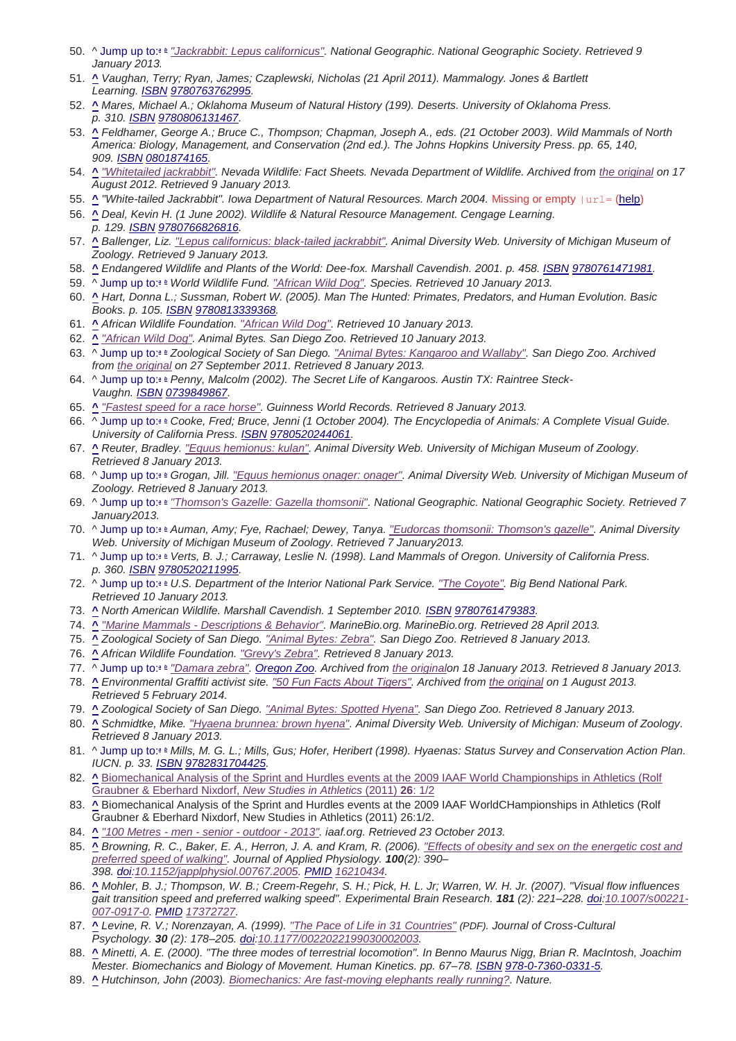- 50. ^ Jump up to:*<sup>a</sup> <sup>b</sup> "Jackrabbit: Lepus californicus". National Geographic. National Geographic Society. Retrieved 9 January 2013.*
- 51. **^** *Vaughan, Terry; Ryan, James; Czaplewski, Nicholas (21 April 2011). Mammalogy. Jones & Bartlett Learning. ISBN 9780763762995.*
- 52. **^** *Mares, Michael A.; Oklahoma Museum of Natural History (199). Deserts. University of Oklahoma Press. p. 310. ISBN 9780806131467.*
- 53. **^** *Feldhamer, George A.; Bruce C., Thompson; Chapman, Joseph A., eds. (21 October 2003). Wild Mammals of North America: Biology, Management, and Conservation (2nd ed.). The Johns Hopkins University Press. pp. 65, 140, 909. ISBN 0801874165.*
- 54. **^** *"Whitetailed jackrabbit". Nevada Wildlife: Fact Sheets. Nevada Department of Wildlife. Archived from the original on 17 August 2012. Retrieved 9 January 2013.*
- 55. *^ "White-tailed Jackrabbit". Iowa Department of Natural Resources. March 2004. Missing or empty |url= (help)*
- 56. **^** *Deal, Kevin H. (1 June 2002). Wildlife & Natural Resource Management. Cengage Learning. p. 129. ISBN 9780766826816.*
- 57. **^** *Ballenger, Liz. "Lepus californicus: black-tailed jackrabbit". Animal Diversity Web. University of Michigan Museum of Zoology. Retrieved 9 January 2013.*
- 58. **^** *Endangered Wildlife and Plants of the World: Dee-fox. Marshall Cavendish. 2001. p. 458. ISBN 9780761471981.*
- 59. ^ Jump up to:*<sup>a</sup> <sup>b</sup> World Wildlife Fund. "African Wild Dog". Species. Retrieved 10 January 2013.*
- 60. **^** *Hart, Donna L.; Sussman, Robert W. (2005). Man The Hunted: Primates, Predators, and Human Evolution. Basic Books. p. 105. ISBN 9780813339368.*
- 61. **^** *African Wildlife Foundation. "African Wild Dog". Retrieved 10 January 2013.*
- 62. **^** *"African Wild Dog". Animal Bytes. San Diego Zoo. Retrieved 10 January 2013.*
- 63. ^ Jump up to:*<sup>a</sup> <sup>b</sup> Zoological Society of San Diego. "Animal Bytes: Kangaroo and Wallaby". San Diego Zoo. Archived from the original on 27 September 2011. Retrieved 8 January 2013.*
- 64. ^ Jump up to:*<sup>a</sup> <sup>b</sup> Penny, Malcolm (2002). The Secret Life of Kangaroos. Austin TX: Raintree Steck-Vaughn. ISBN 0739849867.*
- 65. **^** *"Fastest speed for a race horse". Guinness World Records. Retrieved 8 January 2013.*
- 66. ^ Jump up to:*<sup>a</sup> <sup>b</sup> Cooke, Fred; Bruce, Jenni (1 October 2004). The Encyclopedia of Animals: A Complete Visual Guide. University of California Press. ISBN 9780520244061.*
- 67. **^** *Reuter, Bradley. "Equus hemionus: kulan". Animal Diversity Web. University of Michigan Museum of Zoology. Retrieved 8 January 2013.*
- 68. ^ Jump up to:*<sup>a</sup> <sup>b</sup> Grogan, Jill. "Equus hemionus onager: onager". Animal Diversity Web. University of Michigan Museum of Zoology. Retrieved 8 January 2013.*
- 69. ^ Jump up to:*<sup>a</sup> <sup>b</sup> "Thomson's Gazelle: Gazella thomsonii". National Geographic. National Geographic Society. Retrieved 7 January2013.*
- 70. ^ Jump up to:*<sup>a</sup> <sup>b</sup> Auman, Amy; Fye, Rachael; Dewey, Tanya. "Eudorcas thomsonii: Thomson's gazelle". Animal Diversity Web. University of Michigan Museum of Zoology. Retrieved 7 January2013.*
- 71. ^ Jump up to:*<sup>a</sup> <sup>b</sup> Verts, B. J.; Carraway, Leslie N. (1998). Land Mammals of Oregon. University of California Press. p. 360. ISBN 9780520211995.*
- 72. ^ Jump up to:*<sup>a</sup> <sup>b</sup> U.S. Department of the Interior National Park Service. "The Coyote". Big Bend National Park. Retrieved 10 January 2013.*
- 73. **^** *North American Wildlife. Marshall Cavendish. 1 September 2010. ISBN 9780761479383.*
- 74. **^** *"Marine Mammals - Descriptions & Behavior". MarineBio.org. MarineBio.org. Retrieved 28 April 2013.*
- 75. **^** *Zoological Society of San Diego. "Animal Bytes: Zebra". San Diego Zoo. Retrieved 8 January 2013.*
- 76. **^** *African Wildlife Foundation. "Grevy's Zebra". Retrieved 8 January 2013.*
- 77. ^ Jump up to:*<sup>a</sup> <sup>b</sup> "Damara zebra". Oregon Zoo. Archived from the originalon 18 January 2013. Retrieved 8 January 2013.*
- 78. **^** *Environmental Graffiti activist site. "50 Fun Facts About Tigers". Archived from the original on 1 August 2013. Retrieved 5 February 2014.*
- 79. **^** *Zoological Society of San Diego. "Animal Bytes: Spotted Hyena". San Diego Zoo. Retrieved 8 January 2013.*
- 80. **^** *Schmidtke, Mike. "Hyaena brunnea: brown hyena". Animal Diversity Web. University of Michigan: Museum of Zoology. Retrieved 8 January 2013.*
- 81. ^ Jump up to:*<sup>a</sup> <sup>b</sup> Mills, M. G. L.; Mills, Gus; Hofer, Heribert (1998). Hyaenas: Status Survey and Conservation Action Plan. IUCN. p. 33. ISBN 9782831704425.*
- 82. **^** Biomechanical Analysis of the Sprint and Hurdles events at the 2009 IAAF World Championships in Athletics (Rolf Graubner & Eberhard Nixdorf, *New Studies in Athletics* (2011) **26**: 1/2
- 83. **^** Biomechanical Analysis of the Sprint and Hurdles events at the 2009 IAAF WorldCHampionships in Athletics (Rolf Graubner & Eberhard Nixdorf, New Studies in Athletics (2011) 26:1/2.
- 84. **^** *"100 Metres - men - senior - outdoor - 2013". iaaf.org. Retrieved 23 October 2013.*
- 85. **^** *Browning, R. C., Baker, E. A., Herron, J. A. and Kram, R. (2006). "Effects of obesity and sex on the energetic cost and preferred speed of walking". Journal of Applied Physiology. 100(2): 390– 398. doi:10.1152/japplphysiol.00767.2005. PMID 16210434.*
- 86. **^** *Mohler, B. J.; Thompson, W. B.; Creem-Regehr, S. H.; Pick, H. L. Jr; Warren, W. H. Jr. (2007). "Visual flow influences gait transition speed and preferred walking speed". Experimental Brain Research. 181 (2): 221–228. doi:10.1007/s00221- 007-0917-0. PMID 17372727.*
- 87. **^** *Levine, R. V.; Norenzayan, A. (1999). "The Pace of Life in 31 Countries" (PDF). Journal of Cross-Cultural Psychology. 30 (2): 178–205. doi:10.1177/0022022199030002003.*
- 88. **^** *Minetti, A. E. (2000). "The three modes of terrestrial locomotion". In Benno Maurus Nigg, Brian R. MacIntosh, Joachim Mester. Biomechanics and Biology of Movement. Human Kinetics. pp. 67–78. ISBN 978-0-7360-0331-5.*
- 89. **^** *Hutchinson, John (2003). Biomechanics: Are fast-moving elephants really running?. Nature.*